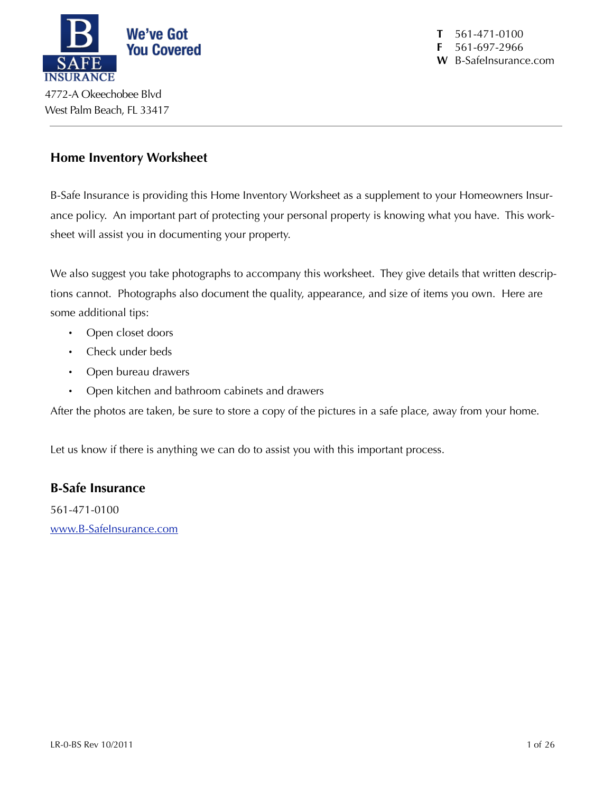

**T** 561-471-0100 **F** 561-697-2966 **W** B-SafeInsurance.com

### **Home Inventory Worksheet**

B-Safe Insurance is providing this Home Inventory Worksheet as a supplement to your Homeowners Insurance policy. An important part of protecting your personal property is knowing what you have. This worksheet will assist you in documenting your property.

We also suggest you take photographs to accompany this worksheet. They give details that written descriptions cannot. Photographs also document the quality, appearance, and size of items you own. Here are some additional tips:

- Open closet doors
- Check under beds
- Open bureau drawers
- Open kitchen and bathroom cabinets and drawers

After the photos are taken, be sure to store a copy of the pictures in a safe place, away from your home.

Let us know if there is anything we can do to assist you with this important process.

### **B-Safe Insurance**

561-471-0100 [www.B-SafeInsurance.com](http://www.B-SafeInsurance.com)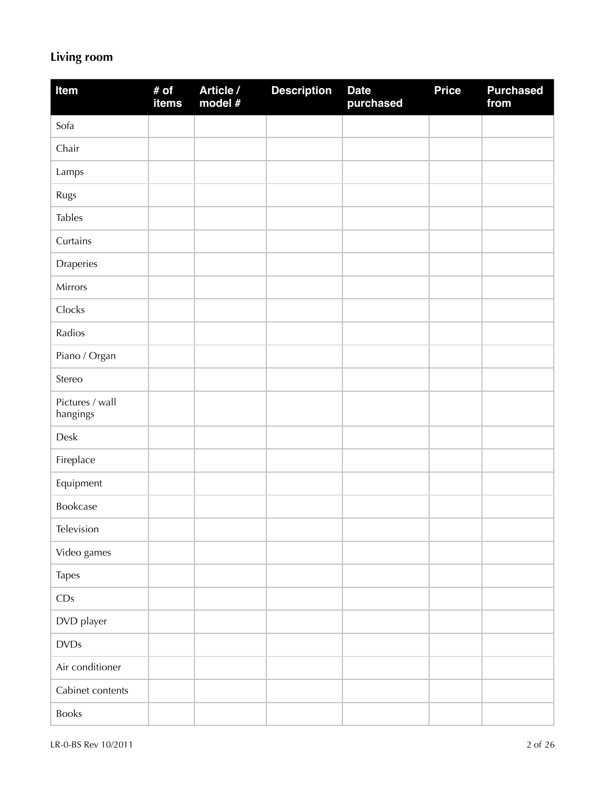## **Living room**

| Item                        | # of<br>items | Article /<br>model # | <b>Description</b> | <b>Date</b><br>purchased | <b>Price</b> | <b>Purchased</b><br>from |
|-----------------------------|---------------|----------------------|--------------------|--------------------------|--------------|--------------------------|
| Sofa                        |               |                      |                    |                          |              |                          |
| Chair                       |               |                      |                    |                          |              |                          |
| Lamps                       |               |                      |                    |                          |              |                          |
| Rugs                        |               |                      |                    |                          |              |                          |
| <b>Tables</b>               |               |                      |                    |                          |              |                          |
| Curtains                    |               |                      |                    |                          |              |                          |
| Draperies                   |               |                      |                    |                          |              |                          |
| Mirrors                     |               |                      |                    |                          |              |                          |
| Clocks                      |               |                      |                    |                          |              |                          |
| Radios                      |               |                      |                    |                          |              |                          |
| Piano / Organ               |               |                      |                    |                          |              |                          |
| Stereo                      |               |                      |                    |                          |              |                          |
| Pictures / wall<br>hangings |               |                      |                    |                          |              |                          |
| Desk                        |               |                      |                    |                          |              |                          |
| Fireplace                   |               |                      |                    |                          |              |                          |
| Equipment                   |               |                      |                    |                          |              |                          |
| Bookcase                    |               |                      |                    |                          |              |                          |
| Television                  |               |                      |                    |                          |              |                          |
| Video games                 |               |                      |                    |                          |              |                          |
| Tapes                       |               |                      |                    |                          |              |                          |
| CDs                         |               |                      |                    |                          |              |                          |
| DVD player                  |               |                      |                    |                          |              |                          |
| <b>DVDs</b>                 |               |                      |                    |                          |              |                          |
| Air conditioner             |               |                      |                    |                          |              |                          |
| Cabinet contents            |               |                      |                    |                          |              |                          |
| Books                       |               |                      |                    |                          |              |                          |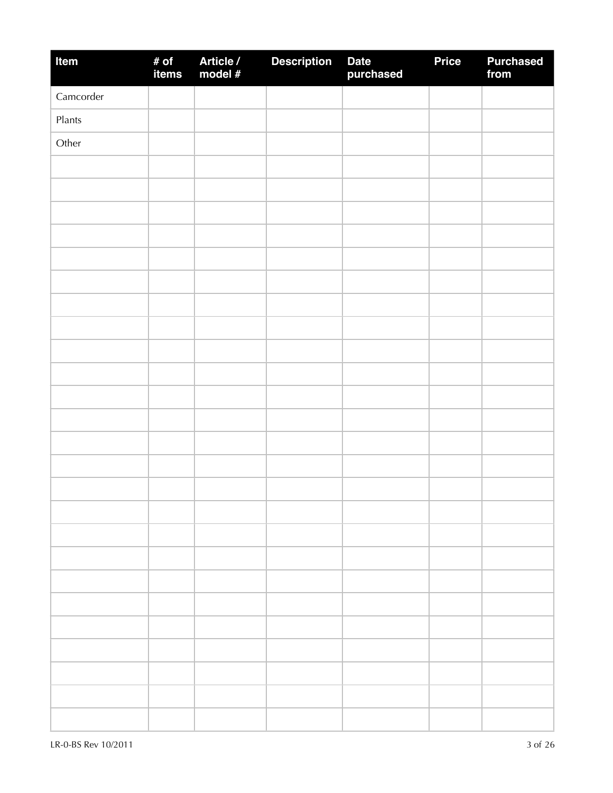| Item      | # of<br>items | Article /<br>model # | <b>Description</b> | Date<br>purchased | <b>Price</b> | <b>Purchased</b><br>from |
|-----------|---------------|----------------------|--------------------|-------------------|--------------|--------------------------|
| Camcorder |               |                      |                    |                   |              |                          |
| Plants    |               |                      |                    |                   |              |                          |
| Other     |               |                      |                    |                   |              |                          |
|           |               |                      |                    |                   |              |                          |
|           |               |                      |                    |                   |              |                          |
|           |               |                      |                    |                   |              |                          |
|           |               |                      |                    |                   |              |                          |
|           |               |                      |                    |                   |              |                          |
|           |               |                      |                    |                   |              |                          |
|           |               |                      |                    |                   |              |                          |
|           |               |                      |                    |                   |              |                          |
|           |               |                      |                    |                   |              |                          |
|           |               |                      |                    |                   |              |                          |
|           |               |                      |                    |                   |              |                          |
|           |               |                      |                    |                   |              |                          |
|           |               |                      |                    |                   |              |                          |
|           |               |                      |                    |                   |              |                          |
|           |               |                      |                    |                   |              |                          |
|           |               |                      |                    |                   |              |                          |
|           |               |                      |                    |                   |              |                          |
|           |               |                      |                    |                   |              |                          |
|           |               |                      |                    |                   |              |                          |
|           |               |                      |                    |                   |              |                          |
|           |               |                      |                    |                   |              |                          |
|           |               |                      |                    |                   |              |                          |
|           |               |                      |                    |                   |              |                          |
|           |               |                      |                    |                   |              |                          |
|           |               |                      |                    |                   |              |                          |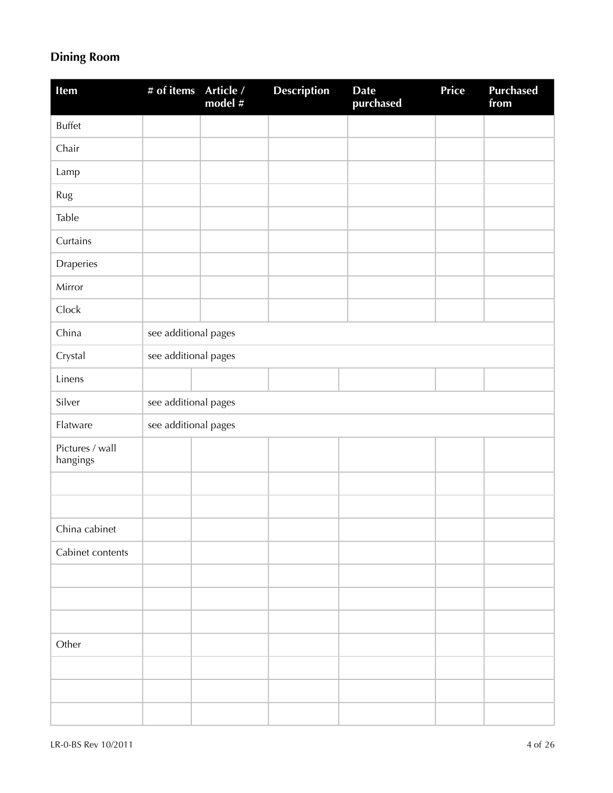## **Dining Room**

| <b>Item</b>                 | # of items           | Article /<br>model # | <b>Description</b> | <b>Date</b><br>purchased | Price | <b>Purchased</b><br>from |  |  |  |
|-----------------------------|----------------------|----------------------|--------------------|--------------------------|-------|--------------------------|--|--|--|
| <b>Buffet</b>               |                      |                      |                    |                          |       |                          |  |  |  |
| Chair                       |                      |                      |                    |                          |       |                          |  |  |  |
| Lamp                        |                      |                      |                    |                          |       |                          |  |  |  |
| Rug                         |                      |                      |                    |                          |       |                          |  |  |  |
| Table                       |                      |                      |                    |                          |       |                          |  |  |  |
| Curtains                    |                      |                      |                    |                          |       |                          |  |  |  |
| Draperies                   |                      |                      |                    |                          |       |                          |  |  |  |
| Mirror                      |                      |                      |                    |                          |       |                          |  |  |  |
| Clock                       |                      |                      |                    |                          |       |                          |  |  |  |
| China                       | see additional pages |                      |                    |                          |       |                          |  |  |  |
| Crystal                     | see additional pages |                      |                    |                          |       |                          |  |  |  |
| Linens                      |                      |                      |                    |                          |       |                          |  |  |  |
| Silver                      |                      | see additional pages |                    |                          |       |                          |  |  |  |
| Flatware                    | see additional pages |                      |                    |                          |       |                          |  |  |  |
| Pictures / wall<br>hangings |                      |                      |                    |                          |       |                          |  |  |  |
|                             |                      |                      |                    |                          |       |                          |  |  |  |
|                             |                      |                      |                    |                          |       |                          |  |  |  |
| China cabinet               |                      |                      |                    |                          |       |                          |  |  |  |
| Cabinet contents            |                      |                      |                    |                          |       |                          |  |  |  |
|                             |                      |                      |                    |                          |       |                          |  |  |  |
|                             |                      |                      |                    |                          |       |                          |  |  |  |
|                             |                      |                      |                    |                          |       |                          |  |  |  |
| Other                       |                      |                      |                    |                          |       |                          |  |  |  |
|                             |                      |                      |                    |                          |       |                          |  |  |  |
|                             |                      |                      |                    |                          |       |                          |  |  |  |
|                             |                      |                      |                    |                          |       |                          |  |  |  |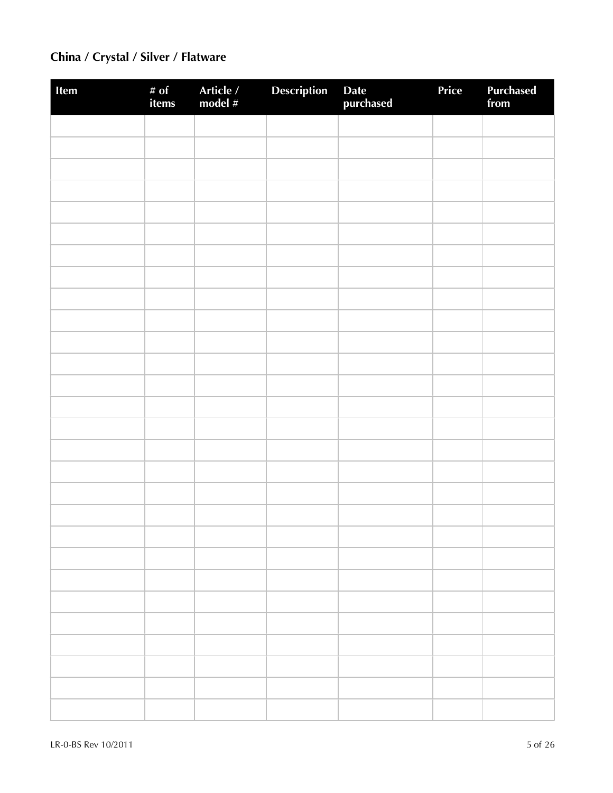## **China / Crystal / Silver / Flatware**

| Item | # of<br>items | Article /<br>model # | Description | Date<br>purchased | Price | <b>Purchased</b><br>from |
|------|---------------|----------------------|-------------|-------------------|-------|--------------------------|
|      |               |                      |             |                   |       |                          |
|      |               |                      |             |                   |       |                          |
|      |               |                      |             |                   |       |                          |
|      |               |                      |             |                   |       |                          |
|      |               |                      |             |                   |       |                          |
|      |               |                      |             |                   |       |                          |
|      |               |                      |             |                   |       |                          |
|      |               |                      |             |                   |       |                          |
|      |               |                      |             |                   |       |                          |
|      |               |                      |             |                   |       |                          |
|      |               |                      |             |                   |       |                          |
|      |               |                      |             |                   |       |                          |
|      |               |                      |             |                   |       |                          |
|      |               |                      |             |                   |       |                          |
|      |               |                      |             |                   |       |                          |
|      |               |                      |             |                   |       |                          |
|      |               |                      |             |                   |       |                          |
|      |               |                      |             |                   |       |                          |
|      |               |                      |             |                   |       |                          |
|      |               |                      |             |                   |       |                          |
|      |               |                      |             |                   |       |                          |
|      |               |                      |             |                   |       |                          |
|      |               |                      |             |                   |       |                          |
|      |               |                      |             |                   |       |                          |
|      |               |                      |             |                   |       |                          |
|      |               |                      |             |                   |       |                          |
|      |               |                      |             |                   |       |                          |
|      |               |                      |             |                   |       |                          |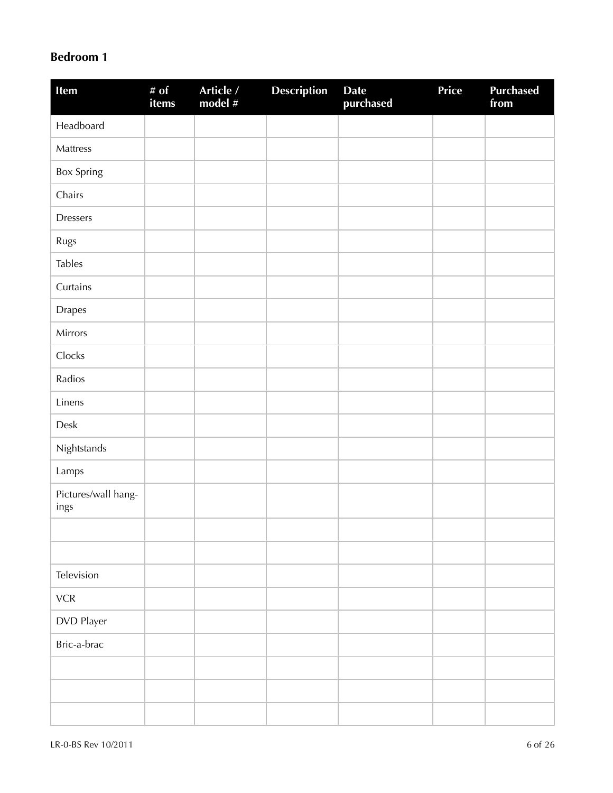### **Bedroom 1**

| Item                        | # $of$<br>items | Article /<br>model # | <b>Description</b> | <b>Date</b><br>purchased | <b>Price</b> | <b>Purchased</b><br>from |
|-----------------------------|-----------------|----------------------|--------------------|--------------------------|--------------|--------------------------|
| Headboard                   |                 |                      |                    |                          |              |                          |
| Mattress                    |                 |                      |                    |                          |              |                          |
| <b>Box Spring</b>           |                 |                      |                    |                          |              |                          |
| Chairs                      |                 |                      |                    |                          |              |                          |
| <b>Dressers</b>             |                 |                      |                    |                          |              |                          |
| Rugs                        |                 |                      |                    |                          |              |                          |
| <b>Tables</b>               |                 |                      |                    |                          |              |                          |
| Curtains                    |                 |                      |                    |                          |              |                          |
| <b>Drapes</b>               |                 |                      |                    |                          |              |                          |
| Mirrors                     |                 |                      |                    |                          |              |                          |
| Clocks                      |                 |                      |                    |                          |              |                          |
| Radios                      |                 |                      |                    |                          |              |                          |
| Linens                      |                 |                      |                    |                          |              |                          |
| Desk                        |                 |                      |                    |                          |              |                          |
| Nightstands                 |                 |                      |                    |                          |              |                          |
| Lamps                       |                 |                      |                    |                          |              |                          |
| Pictures/wall hang-<br>ings |                 |                      |                    |                          |              |                          |
|                             |                 |                      |                    |                          |              |                          |
|                             |                 |                      |                    |                          |              |                          |
| Television                  |                 |                      |                    |                          |              |                          |
| ${\sf VCR}$                 |                 |                      |                    |                          |              |                          |
| DVD Player                  |                 |                      |                    |                          |              |                          |
| Bric-a-brac                 |                 |                      |                    |                          |              |                          |
|                             |                 |                      |                    |                          |              |                          |
|                             |                 |                      |                    |                          |              |                          |
|                             |                 |                      |                    |                          |              |                          |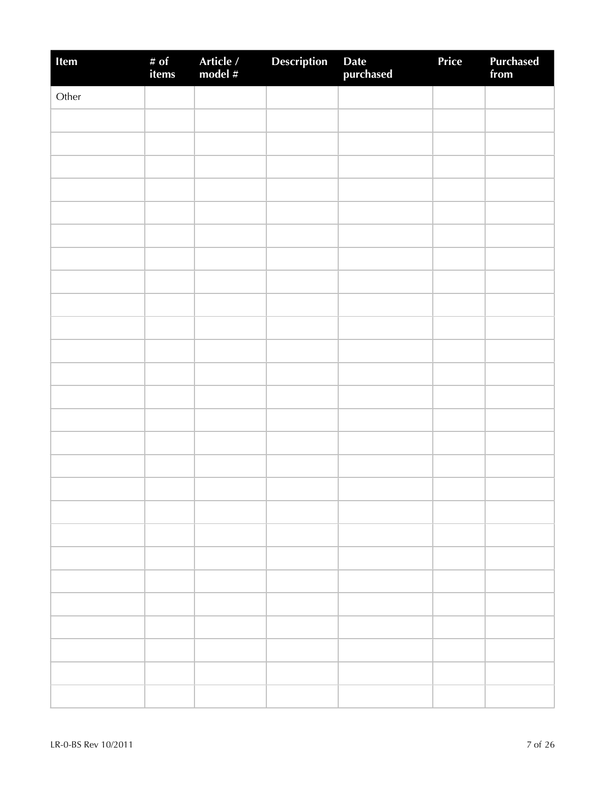| Item  | # of<br>items | Article /<br>model # | <b>Description</b> | Date<br>purchased | Price | Purchased<br>from |
|-------|---------------|----------------------|--------------------|-------------------|-------|-------------------|
| Other |               |                      |                    |                   |       |                   |
|       |               |                      |                    |                   |       |                   |
|       |               |                      |                    |                   |       |                   |
|       |               |                      |                    |                   |       |                   |
|       |               |                      |                    |                   |       |                   |
|       |               |                      |                    |                   |       |                   |
|       |               |                      |                    |                   |       |                   |
|       |               |                      |                    |                   |       |                   |
|       |               |                      |                    |                   |       |                   |
|       |               |                      |                    |                   |       |                   |
|       |               |                      |                    |                   |       |                   |
|       |               |                      |                    |                   |       |                   |
|       |               |                      |                    |                   |       |                   |
|       |               |                      |                    |                   |       |                   |
|       |               |                      |                    |                   |       |                   |
|       |               |                      |                    |                   |       |                   |
|       |               |                      |                    |                   |       |                   |
|       |               |                      |                    |                   |       |                   |
|       |               |                      |                    |                   |       |                   |
|       |               |                      |                    |                   |       |                   |
|       |               |                      |                    |                   |       |                   |
|       |               |                      |                    |                   |       |                   |
|       |               |                      |                    |                   |       |                   |
|       |               |                      |                    |                   |       |                   |
|       |               |                      |                    |                   |       |                   |
|       |               |                      |                    |                   |       |                   |
|       |               |                      |                    |                   |       |                   |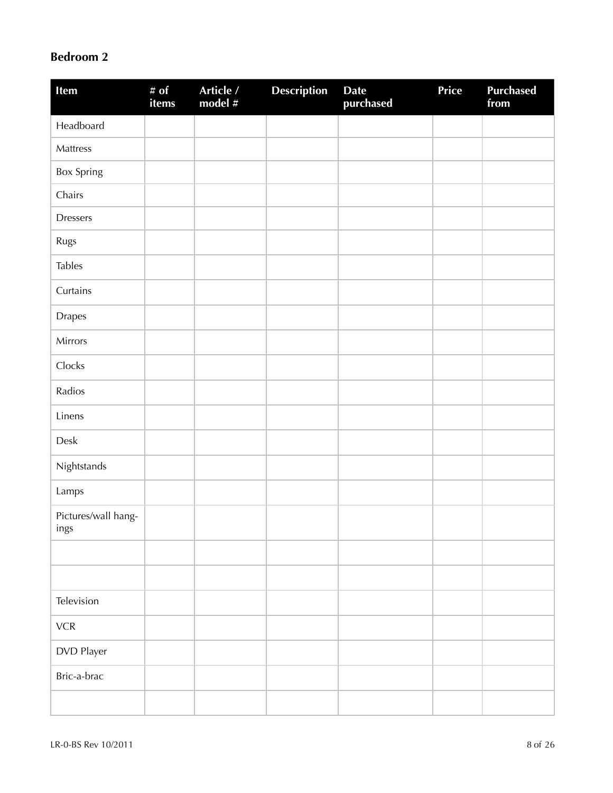#### **Bedroom 2**

| Item                        | # of<br>items | Article /<br>model $#$ | <b>Description</b> | <b>Date</b><br>purchased | Price | <b>Purchased</b><br>from |
|-----------------------------|---------------|------------------------|--------------------|--------------------------|-------|--------------------------|
| Headboard                   |               |                        |                    |                          |       |                          |
| Mattress                    |               |                        |                    |                          |       |                          |
| Box Spring                  |               |                        |                    |                          |       |                          |
| Chairs                      |               |                        |                    |                          |       |                          |
| <b>Dressers</b>             |               |                        |                    |                          |       |                          |
| Rugs                        |               |                        |                    |                          |       |                          |
| <b>Tables</b>               |               |                        |                    |                          |       |                          |
| Curtains                    |               |                        |                    |                          |       |                          |
| Drapes                      |               |                        |                    |                          |       |                          |
| Mirrors                     |               |                        |                    |                          |       |                          |
| Clocks                      |               |                        |                    |                          |       |                          |
| Radios                      |               |                        |                    |                          |       |                          |
| Linens                      |               |                        |                    |                          |       |                          |
| Desk                        |               |                        |                    |                          |       |                          |
| Nightstands                 |               |                        |                    |                          |       |                          |
| Lamps                       |               |                        |                    |                          |       |                          |
| Pictures/wall hang-<br>ings |               |                        |                    |                          |       |                          |
|                             |               |                        |                    |                          |       |                          |
|                             |               |                        |                    |                          |       |                          |
| Television                  |               |                        |                    |                          |       |                          |
| ${\sf VCR}$                 |               |                        |                    |                          |       |                          |
| DVD Player                  |               |                        |                    |                          |       |                          |
| Bric-a-brac                 |               |                        |                    |                          |       |                          |
|                             |               |                        |                    |                          |       |                          |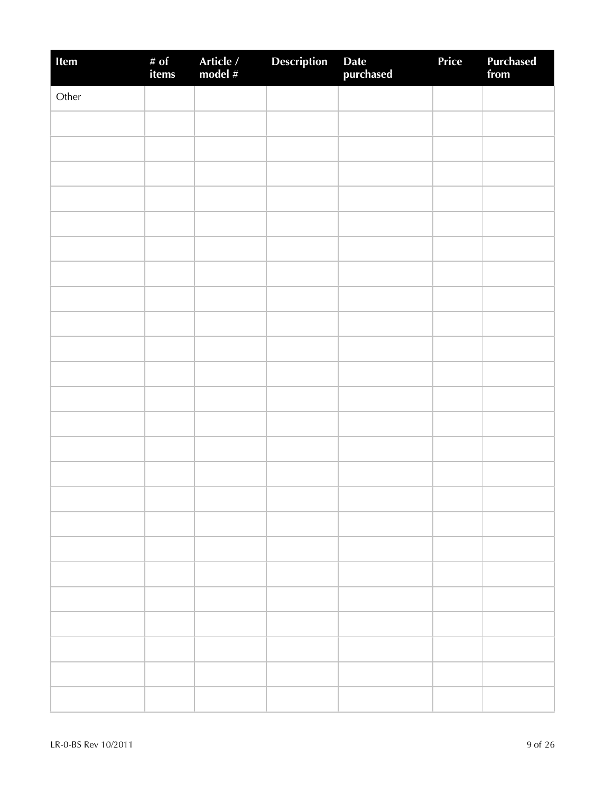| Item  | # of<br>items | Article /<br>model # | Description | Date<br>purchased | Price | <b>Purchased</b><br>from |
|-------|---------------|----------------------|-------------|-------------------|-------|--------------------------|
| Other |               |                      |             |                   |       |                          |
|       |               |                      |             |                   |       |                          |
|       |               |                      |             |                   |       |                          |
|       |               |                      |             |                   |       |                          |
|       |               |                      |             |                   |       |                          |
|       |               |                      |             |                   |       |                          |
|       |               |                      |             |                   |       |                          |
|       |               |                      |             |                   |       |                          |
|       |               |                      |             |                   |       |                          |
|       |               |                      |             |                   |       |                          |
|       |               |                      |             |                   |       |                          |
|       |               |                      |             |                   |       |                          |
|       |               |                      |             |                   |       |                          |
|       |               |                      |             |                   |       |                          |
|       |               |                      |             |                   |       |                          |
|       |               |                      |             |                   |       |                          |
|       |               |                      |             |                   |       |                          |
|       |               |                      |             |                   |       |                          |
|       |               |                      |             |                   |       |                          |
|       |               |                      |             |                   |       |                          |
|       |               |                      |             |                   |       |                          |
|       |               |                      |             |                   |       |                          |
|       |               |                      |             |                   |       |                          |
|       |               |                      |             |                   |       |                          |
|       |               |                      |             |                   |       |                          |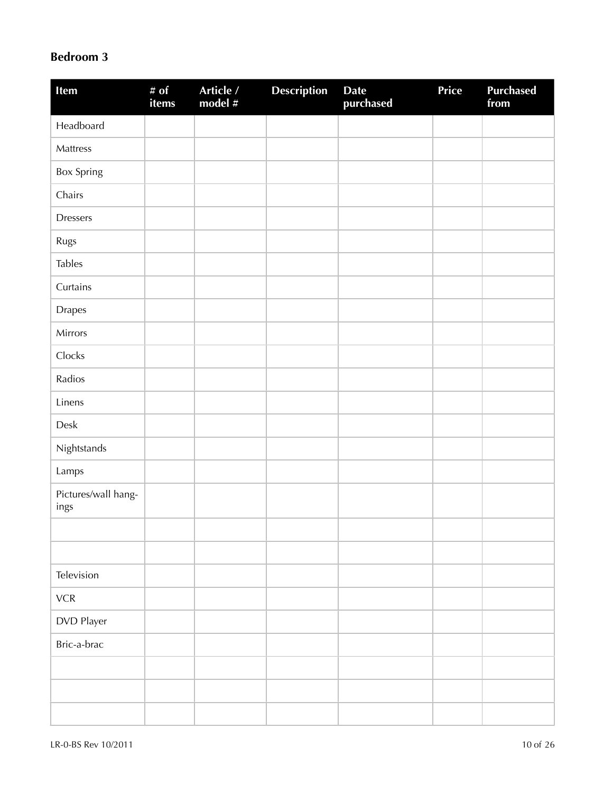### **Bedroom 3**

| Item                        | # $of$<br>items | Article /<br>model # | <b>Description</b> | <b>Date</b><br>purchased | Price | <b>Purchased</b><br>from |
|-----------------------------|-----------------|----------------------|--------------------|--------------------------|-------|--------------------------|
| Headboard                   |                 |                      |                    |                          |       |                          |
| Mattress                    |                 |                      |                    |                          |       |                          |
| <b>Box Spring</b>           |                 |                      |                    |                          |       |                          |
| Chairs                      |                 |                      |                    |                          |       |                          |
| <b>Dressers</b>             |                 |                      |                    |                          |       |                          |
| Rugs                        |                 |                      |                    |                          |       |                          |
| <b>Tables</b>               |                 |                      |                    |                          |       |                          |
| Curtains                    |                 |                      |                    |                          |       |                          |
| Drapes                      |                 |                      |                    |                          |       |                          |
| Mirrors                     |                 |                      |                    |                          |       |                          |
| Clocks                      |                 |                      |                    |                          |       |                          |
| Radios                      |                 |                      |                    |                          |       |                          |
| Linens                      |                 |                      |                    |                          |       |                          |
| Desk                        |                 |                      |                    |                          |       |                          |
| Nightstands                 |                 |                      |                    |                          |       |                          |
| Lamps                       |                 |                      |                    |                          |       |                          |
| Pictures/wall hang-<br>ings |                 |                      |                    |                          |       |                          |
|                             |                 |                      |                    |                          |       |                          |
|                             |                 |                      |                    |                          |       |                          |
| Television                  |                 |                      |                    |                          |       |                          |
| ${\sf VCR}$                 |                 |                      |                    |                          |       |                          |
| DVD Player                  |                 |                      |                    |                          |       |                          |
| Bric-a-brac                 |                 |                      |                    |                          |       |                          |
|                             |                 |                      |                    |                          |       |                          |
|                             |                 |                      |                    |                          |       |                          |
|                             |                 |                      |                    |                          |       |                          |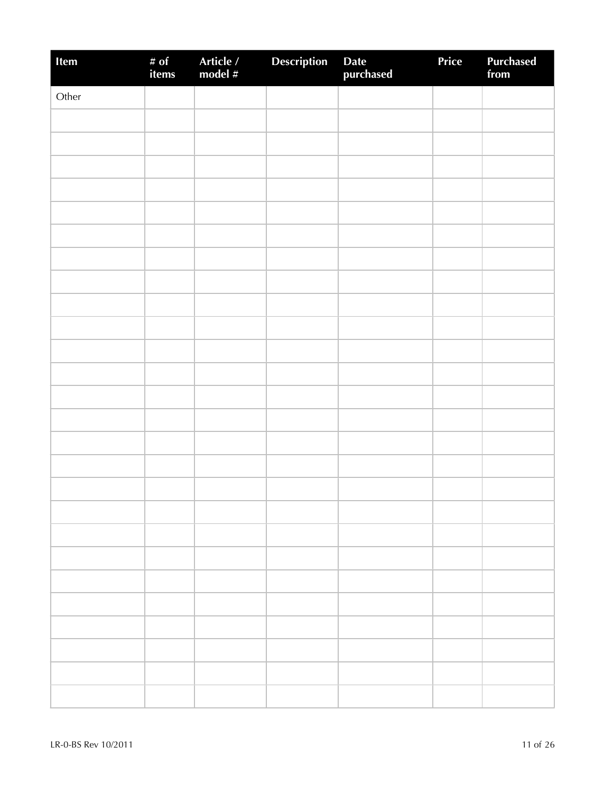| Item  | # of<br>items | Article /<br>model # | Description | Date<br>purchased | Price | Purchased<br>from |
|-------|---------------|----------------------|-------------|-------------------|-------|-------------------|
| Other |               |                      |             |                   |       |                   |
|       |               |                      |             |                   |       |                   |
|       |               |                      |             |                   |       |                   |
|       |               |                      |             |                   |       |                   |
|       |               |                      |             |                   |       |                   |
|       |               |                      |             |                   |       |                   |
|       |               |                      |             |                   |       |                   |
|       |               |                      |             |                   |       |                   |
|       |               |                      |             |                   |       |                   |
|       |               |                      |             |                   |       |                   |
|       |               |                      |             |                   |       |                   |
|       |               |                      |             |                   |       |                   |
|       |               |                      |             |                   |       |                   |
|       |               |                      |             |                   |       |                   |
|       |               |                      |             |                   |       |                   |
|       |               |                      |             |                   |       |                   |
|       |               |                      |             |                   |       |                   |
|       |               |                      |             |                   |       |                   |
|       |               |                      |             |                   |       |                   |
|       |               |                      |             |                   |       |                   |
|       |               |                      |             |                   |       |                   |
|       |               |                      |             |                   |       |                   |
|       |               |                      |             |                   |       |                   |
|       |               |                      |             |                   |       |                   |
|       |               |                      |             |                   |       |                   |
|       |               |                      |             |                   |       |                   |
|       |               |                      |             |                   |       |                   |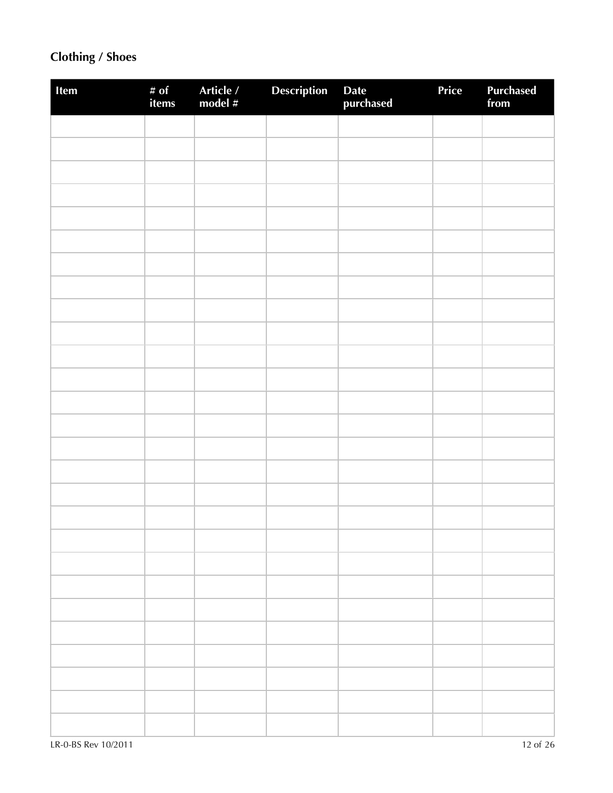## **Clothing / Shoes**

| Item | # of<br>items | Article /<br>model # | <b>Description</b> | Date<br>purchased | Price | Purchased<br>from |
|------|---------------|----------------------|--------------------|-------------------|-------|-------------------|
|      |               |                      |                    |                   |       |                   |
|      |               |                      |                    |                   |       |                   |
|      |               |                      |                    |                   |       |                   |
|      |               |                      |                    |                   |       |                   |
|      |               |                      |                    |                   |       |                   |
|      |               |                      |                    |                   |       |                   |
|      |               |                      |                    |                   |       |                   |
|      |               |                      |                    |                   |       |                   |
|      |               |                      |                    |                   |       |                   |
|      |               |                      |                    |                   |       |                   |
|      |               |                      |                    |                   |       |                   |
|      |               |                      |                    |                   |       |                   |
|      |               |                      |                    |                   |       |                   |
|      |               |                      |                    |                   |       |                   |
|      |               |                      |                    |                   |       |                   |
|      |               |                      |                    |                   |       |                   |
|      |               |                      |                    |                   |       |                   |
|      |               |                      |                    |                   |       |                   |
|      |               |                      |                    |                   |       |                   |
|      |               |                      |                    |                   |       |                   |
|      |               |                      |                    |                   |       |                   |
|      |               |                      |                    |                   |       |                   |
|      |               |                      |                    |                   |       |                   |
|      |               |                      |                    |                   |       |                   |
|      |               |                      |                    |                   |       |                   |
|      |               |                      |                    |                   |       |                   |
|      |               |                      |                    |                   |       |                   |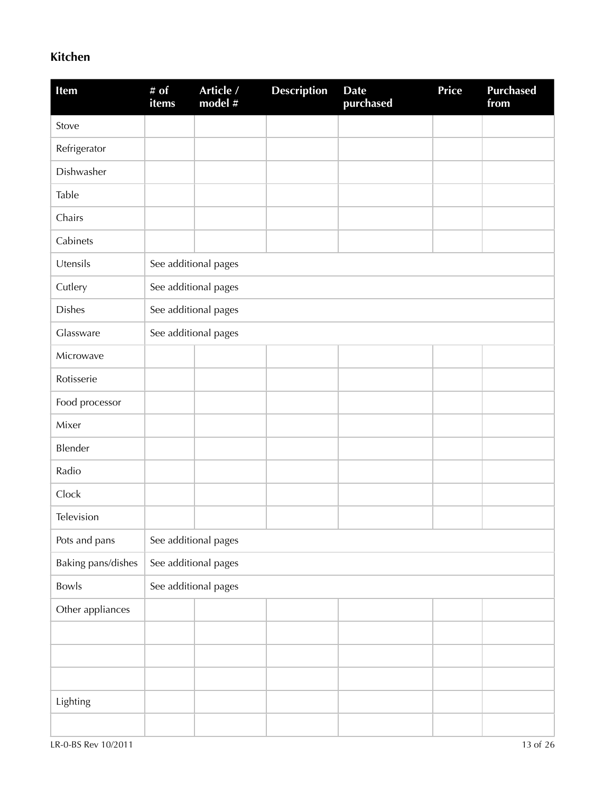### **Kitchen**

| Item               | # $of$<br>items | Article /<br>model # | <b>Description</b> | <b>Date</b><br>purchased | <b>Price</b> | <b>Purchased</b><br>from |
|--------------------|-----------------|----------------------|--------------------|--------------------------|--------------|--------------------------|
| Stove              |                 |                      |                    |                          |              |                          |
| Refrigerator       |                 |                      |                    |                          |              |                          |
| Dishwasher         |                 |                      |                    |                          |              |                          |
| Table              |                 |                      |                    |                          |              |                          |
| Chairs             |                 |                      |                    |                          |              |                          |
| Cabinets           |                 |                      |                    |                          |              |                          |
| Utensils           |                 | See additional pages |                    |                          |              |                          |
| Cutlery            |                 | See additional pages |                    |                          |              |                          |
| <b>Dishes</b>      |                 | See additional pages |                    |                          |              |                          |
| Glassware          |                 | See additional pages |                    |                          |              |                          |
| Microwave          |                 |                      |                    |                          |              |                          |
| Rotisserie         |                 |                      |                    |                          |              |                          |
| Food processor     |                 |                      |                    |                          |              |                          |
| Mixer              |                 |                      |                    |                          |              |                          |
| Blender            |                 |                      |                    |                          |              |                          |
| Radio              |                 |                      |                    |                          |              |                          |
| Clock              |                 |                      |                    |                          |              |                          |
| Television         |                 |                      |                    |                          |              |                          |
| Pots and pans      |                 | See additional pages |                    |                          |              |                          |
| Baking pans/dishes |                 | See additional pages |                    |                          |              |                          |
| Bowls              |                 | See additional pages |                    |                          |              |                          |
| Other appliances   |                 |                      |                    |                          |              |                          |
|                    |                 |                      |                    |                          |              |                          |
|                    |                 |                      |                    |                          |              |                          |
|                    |                 |                      |                    |                          |              |                          |
| Lighting           |                 |                      |                    |                          |              |                          |
|                    |                 |                      |                    |                          |              |                          |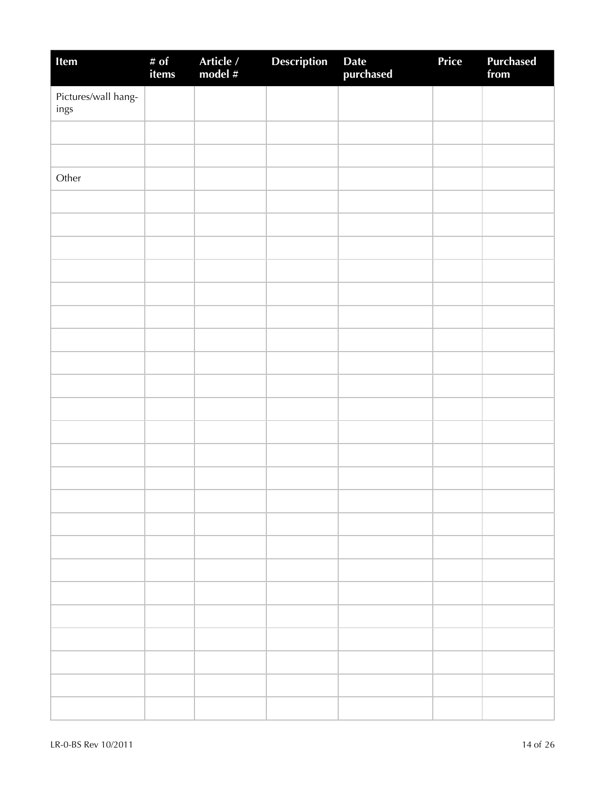| Item                        | # of<br>items | Article /<br>model # | <b>Description</b> | Date<br>purchased | Price | <b>Purchased</b><br>from |
|-----------------------------|---------------|----------------------|--------------------|-------------------|-------|--------------------------|
| Pictures/wall hang-<br>ings |               |                      |                    |                   |       |                          |
|                             |               |                      |                    |                   |       |                          |
|                             |               |                      |                    |                   |       |                          |
| Other                       |               |                      |                    |                   |       |                          |
|                             |               |                      |                    |                   |       |                          |
|                             |               |                      |                    |                   |       |                          |
|                             |               |                      |                    |                   |       |                          |
|                             |               |                      |                    |                   |       |                          |
|                             |               |                      |                    |                   |       |                          |
|                             |               |                      |                    |                   |       |                          |
|                             |               |                      |                    |                   |       |                          |
|                             |               |                      |                    |                   |       |                          |
|                             |               |                      |                    |                   |       |                          |
|                             |               |                      |                    |                   |       |                          |
|                             |               |                      |                    |                   |       |                          |
|                             |               |                      |                    |                   |       |                          |
|                             |               |                      |                    |                   |       |                          |
|                             |               |                      |                    |                   |       |                          |
|                             |               |                      |                    |                   |       |                          |
|                             |               |                      |                    |                   |       |                          |
|                             |               |                      |                    |                   |       |                          |
|                             |               |                      |                    |                   |       |                          |
|                             |               |                      |                    |                   |       |                          |
|                             |               |                      |                    |                   |       |                          |
|                             |               |                      |                    |                   |       |                          |
|                             |               |                      |                    |                   |       |                          |
|                             |               |                      |                    |                   |       |                          |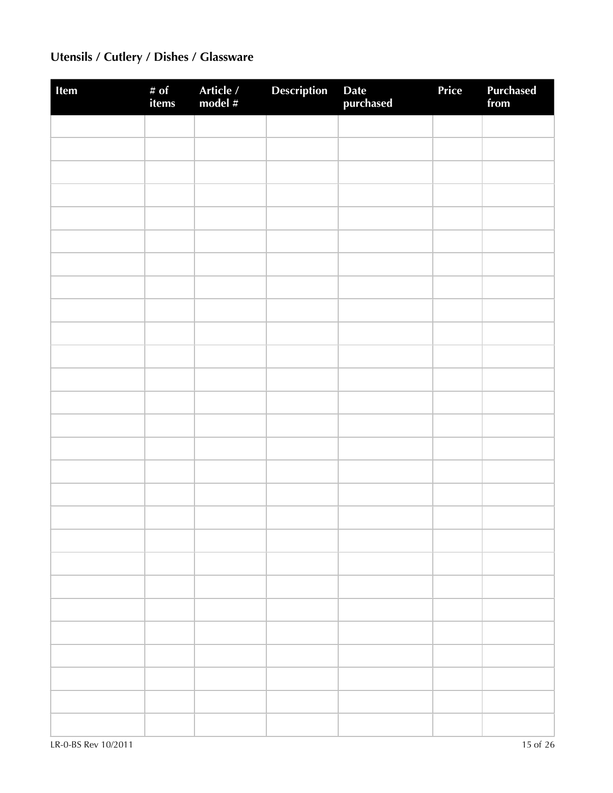# **Utensils / Cutlery / Dishes / Glassware**

| Item | # of<br>items | Article /<br>model # | Description | Date<br>purchased | Price | <b>Purchased</b><br>from |
|------|---------------|----------------------|-------------|-------------------|-------|--------------------------|
|      |               |                      |             |                   |       |                          |
|      |               |                      |             |                   |       |                          |
|      |               |                      |             |                   |       |                          |
|      |               |                      |             |                   |       |                          |
|      |               |                      |             |                   |       |                          |
|      |               |                      |             |                   |       |                          |
|      |               |                      |             |                   |       |                          |
|      |               |                      |             |                   |       |                          |
|      |               |                      |             |                   |       |                          |
|      |               |                      |             |                   |       |                          |
|      |               |                      |             |                   |       |                          |
|      |               |                      |             |                   |       |                          |
|      |               |                      |             |                   |       |                          |
|      |               |                      |             |                   |       |                          |
|      |               |                      |             |                   |       |                          |
|      |               |                      |             |                   |       |                          |
|      |               |                      |             |                   |       |                          |
|      |               |                      |             |                   |       |                          |
|      |               |                      |             |                   |       |                          |
|      |               |                      |             |                   |       |                          |
|      |               |                      |             |                   |       |                          |
|      |               |                      |             |                   |       |                          |
|      |               |                      |             |                   |       |                          |
|      |               |                      |             |                   |       |                          |
|      |               |                      |             |                   |       |                          |
|      |               |                      |             |                   |       |                          |
|      |               |                      |             |                   |       |                          |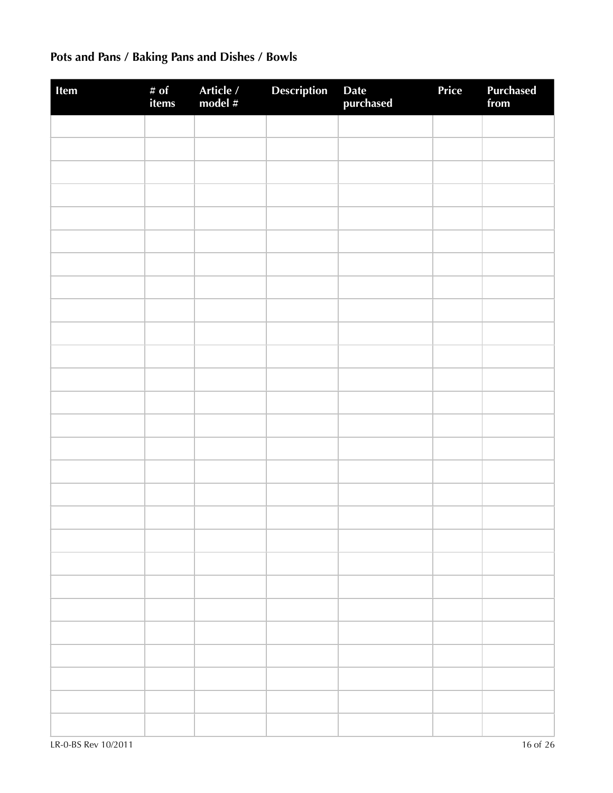# **Pots and Pans / Baking Pans and Dishes / Bowls**

| Item | # of<br>items | Article /<br>model # | <b>Description</b> | Date<br>purchased | Price | <b>Purchased</b><br>from |
|------|---------------|----------------------|--------------------|-------------------|-------|--------------------------|
|      |               |                      |                    |                   |       |                          |
|      |               |                      |                    |                   |       |                          |
|      |               |                      |                    |                   |       |                          |
|      |               |                      |                    |                   |       |                          |
|      |               |                      |                    |                   |       |                          |
|      |               |                      |                    |                   |       |                          |
|      |               |                      |                    |                   |       |                          |
|      |               |                      |                    |                   |       |                          |
|      |               |                      |                    |                   |       |                          |
|      |               |                      |                    |                   |       |                          |
|      |               |                      |                    |                   |       |                          |
|      |               |                      |                    |                   |       |                          |
|      |               |                      |                    |                   |       |                          |
|      |               |                      |                    |                   |       |                          |
|      |               |                      |                    |                   |       |                          |
|      |               |                      |                    |                   |       |                          |
|      |               |                      |                    |                   |       |                          |
|      |               |                      |                    |                   |       |                          |
|      |               |                      |                    |                   |       |                          |
|      |               |                      |                    |                   |       |                          |
|      |               |                      |                    |                   |       |                          |
|      |               |                      |                    |                   |       |                          |
|      |               |                      |                    |                   |       |                          |
|      |               |                      |                    |                   |       |                          |
|      |               |                      |                    |                   |       |                          |
|      |               |                      |                    |                   |       |                          |
|      |               |                      |                    |                   |       |                          |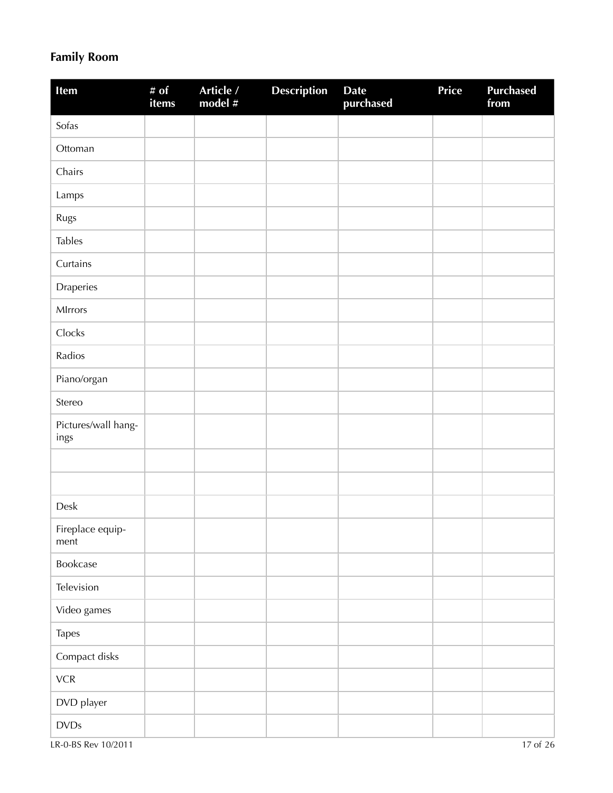### **Family Room**

| Item                        | # of<br>items | Article /<br>model # | <b>Description</b> | <b>Date</b><br>purchased | Price | <b>Purchased</b><br>from |
|-----------------------------|---------------|----------------------|--------------------|--------------------------|-------|--------------------------|
| Sofas                       |               |                      |                    |                          |       |                          |
| Ottoman                     |               |                      |                    |                          |       |                          |
| Chairs                      |               |                      |                    |                          |       |                          |
| Lamps                       |               |                      |                    |                          |       |                          |
| Rugs                        |               |                      |                    |                          |       |                          |
| <b>Tables</b>               |               |                      |                    |                          |       |                          |
| Curtains                    |               |                      |                    |                          |       |                          |
| Draperies                   |               |                      |                    |                          |       |                          |
| MIrrors                     |               |                      |                    |                          |       |                          |
| Clocks                      |               |                      |                    |                          |       |                          |
| Radios                      |               |                      |                    |                          |       |                          |
| Piano/organ                 |               |                      |                    |                          |       |                          |
| Stereo                      |               |                      |                    |                          |       |                          |
| Pictures/wall hang-<br>ings |               |                      |                    |                          |       |                          |
|                             |               |                      |                    |                          |       |                          |
|                             |               |                      |                    |                          |       |                          |
| Desk                        |               |                      |                    |                          |       |                          |
| Fireplace equip-<br>ment    |               |                      |                    |                          |       |                          |
| Bookcase                    |               |                      |                    |                          |       |                          |
| Television                  |               |                      |                    |                          |       |                          |
| Video games                 |               |                      |                    |                          |       |                          |
| Tapes                       |               |                      |                    |                          |       |                          |
| Compact disks               |               |                      |                    |                          |       |                          |
| ${\sf VCR}$                 |               |                      |                    |                          |       |                          |
| DVD player                  |               |                      |                    |                          |       |                          |
| $\textsf{DVDs}$             |               |                      |                    |                          |       |                          |

LR-0-BS Rev 10/2011 17 of 26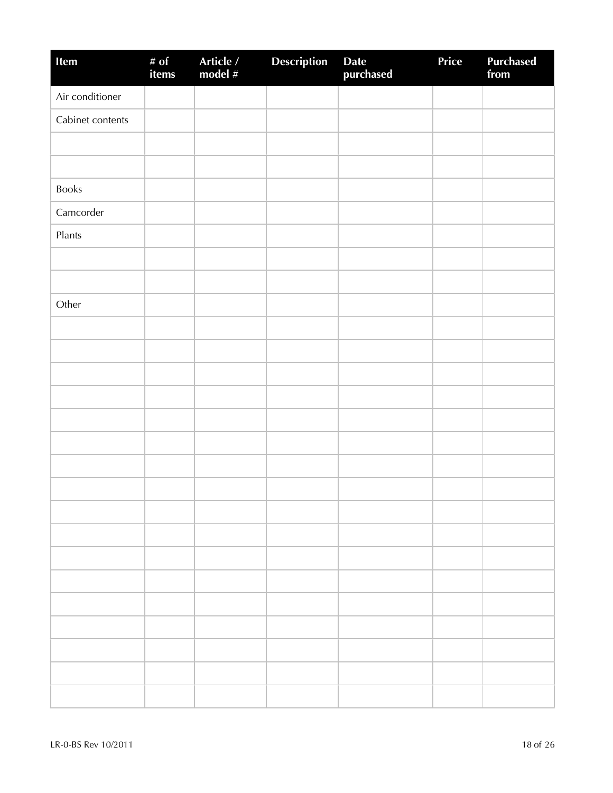| Item             | # of<br>items | Article /<br>model # | <b>Description</b> | Date<br>purchased | Price | <b>Purchased</b><br>from |
|------------------|---------------|----------------------|--------------------|-------------------|-------|--------------------------|
| Air conditioner  |               |                      |                    |                   |       |                          |
| Cabinet contents |               |                      |                    |                   |       |                          |
|                  |               |                      |                    |                   |       |                          |
|                  |               |                      |                    |                   |       |                          |
| <b>Books</b>     |               |                      |                    |                   |       |                          |
| Camcorder        |               |                      |                    |                   |       |                          |
| Plants           |               |                      |                    |                   |       |                          |
|                  |               |                      |                    |                   |       |                          |
|                  |               |                      |                    |                   |       |                          |
| Other            |               |                      |                    |                   |       |                          |
|                  |               |                      |                    |                   |       |                          |
|                  |               |                      |                    |                   |       |                          |
|                  |               |                      |                    |                   |       |                          |
|                  |               |                      |                    |                   |       |                          |
|                  |               |                      |                    |                   |       |                          |
|                  |               |                      |                    |                   |       |                          |
|                  |               |                      |                    |                   |       |                          |
|                  |               |                      |                    |                   |       |                          |
|                  |               |                      |                    |                   |       |                          |
|                  |               |                      |                    |                   |       |                          |
|                  |               |                      |                    |                   |       |                          |
|                  |               |                      |                    |                   |       |                          |
|                  |               |                      |                    |                   |       |                          |
|                  |               |                      |                    |                   |       |                          |
|                  |               |                      |                    |                   |       |                          |
|                  |               |                      |                    |                   |       |                          |
|                  |               |                      |                    |                   |       |                          |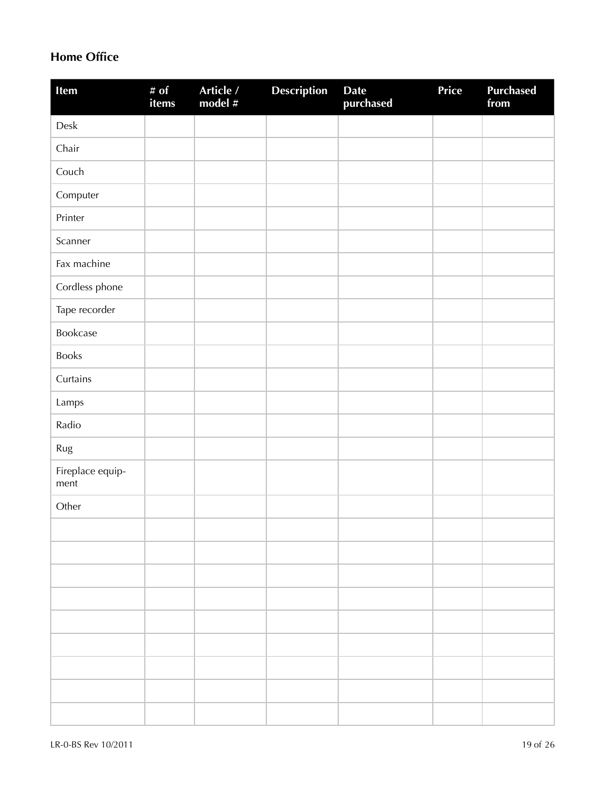### **Home Office**

| Item                     | # $of$<br>items | Article /<br>model # | <b>Description</b> | <b>Date</b><br>purchased | <b>Price</b> | <b>Purchased</b><br>from |
|--------------------------|-----------------|----------------------|--------------------|--------------------------|--------------|--------------------------|
| ${\sf Desk}$             |                 |                      |                    |                          |              |                          |
| Chair                    |                 |                      |                    |                          |              |                          |
| Couch                    |                 |                      |                    |                          |              |                          |
| Computer                 |                 |                      |                    |                          |              |                          |
| Printer                  |                 |                      |                    |                          |              |                          |
| Scanner                  |                 |                      |                    |                          |              |                          |
| Fax machine              |                 |                      |                    |                          |              |                          |
| Cordless phone           |                 |                      |                    |                          |              |                          |
| Tape recorder            |                 |                      |                    |                          |              |                          |
| Bookcase                 |                 |                      |                    |                          |              |                          |
| Books                    |                 |                      |                    |                          |              |                          |
| Curtains                 |                 |                      |                    |                          |              |                          |
| Lamps                    |                 |                      |                    |                          |              |                          |
| Radio                    |                 |                      |                    |                          |              |                          |
| Rug                      |                 |                      |                    |                          |              |                          |
| Fireplace equip-<br>ment |                 |                      |                    |                          |              |                          |
| Other                    |                 |                      |                    |                          |              |                          |
|                          |                 |                      |                    |                          |              |                          |
|                          |                 |                      |                    |                          |              |                          |
|                          |                 |                      |                    |                          |              |                          |
|                          |                 |                      |                    |                          |              |                          |
|                          |                 |                      |                    |                          |              |                          |
|                          |                 |                      |                    |                          |              |                          |
|                          |                 |                      |                    |                          |              |                          |
|                          |                 |                      |                    |                          |              |                          |
|                          |                 |                      |                    |                          |              |                          |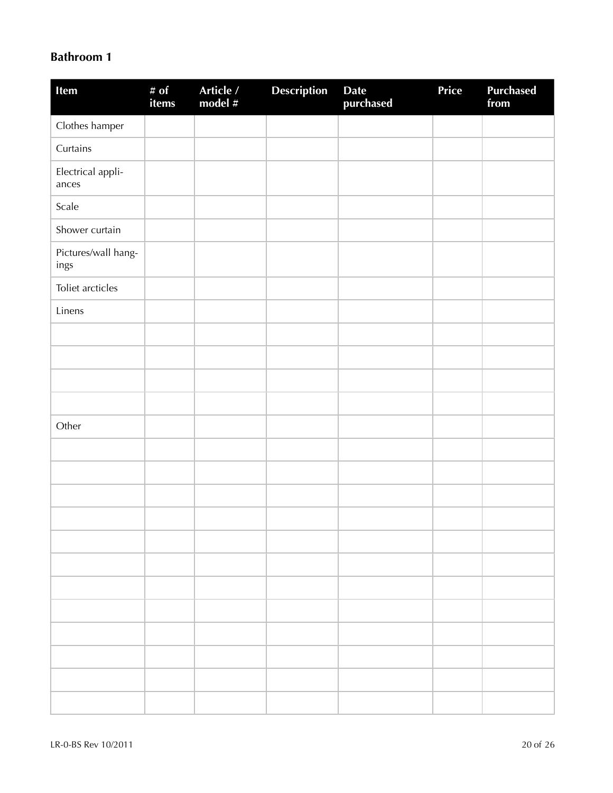#### **Bathroom 1**

| Item                        | # of<br>items | Article /<br>model # | Description | Date<br>purchased | Price | <b>Purchased</b><br>from |
|-----------------------------|---------------|----------------------|-------------|-------------------|-------|--------------------------|
| Clothes hamper              |               |                      |             |                   |       |                          |
| Curtains                    |               |                      |             |                   |       |                          |
| Electrical appli-<br>ances  |               |                      |             |                   |       |                          |
| Scale                       |               |                      |             |                   |       |                          |
| Shower curtain              |               |                      |             |                   |       |                          |
| Pictures/wall hang-<br>ings |               |                      |             |                   |       |                          |
| Toliet arcticles            |               |                      |             |                   |       |                          |
| Linens                      |               |                      |             |                   |       |                          |
|                             |               |                      |             |                   |       |                          |
|                             |               |                      |             |                   |       |                          |
|                             |               |                      |             |                   |       |                          |
|                             |               |                      |             |                   |       |                          |
| Other                       |               |                      |             |                   |       |                          |
|                             |               |                      |             |                   |       |                          |
|                             |               |                      |             |                   |       |                          |
|                             |               |                      |             |                   |       |                          |
|                             |               |                      |             |                   |       |                          |
|                             |               |                      |             |                   |       |                          |
|                             |               |                      |             |                   |       |                          |
|                             |               |                      |             |                   |       |                          |
|                             |               |                      |             |                   |       |                          |
|                             |               |                      |             |                   |       |                          |
|                             |               |                      |             |                   |       |                          |
|                             |               |                      |             |                   |       |                          |
|                             |               |                      |             |                   |       |                          |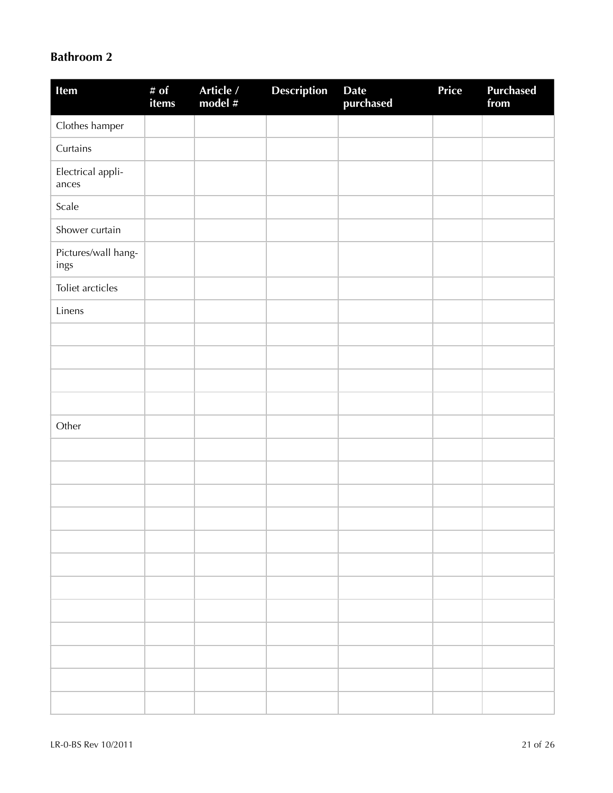### **Bathroom 2**

| Item                        | # of<br>items | Article /<br>model # | Description | Date<br>purchased | Price | <b>Purchased</b><br>from |
|-----------------------------|---------------|----------------------|-------------|-------------------|-------|--------------------------|
| Clothes hamper              |               |                      |             |                   |       |                          |
| Curtains                    |               |                      |             |                   |       |                          |
| Electrical appli-<br>ances  |               |                      |             |                   |       |                          |
| Scale                       |               |                      |             |                   |       |                          |
| Shower curtain              |               |                      |             |                   |       |                          |
| Pictures/wall hang-<br>ings |               |                      |             |                   |       |                          |
| Toliet arcticles            |               |                      |             |                   |       |                          |
| Linens                      |               |                      |             |                   |       |                          |
|                             |               |                      |             |                   |       |                          |
|                             |               |                      |             |                   |       |                          |
|                             |               |                      |             |                   |       |                          |
|                             |               |                      |             |                   |       |                          |
| Other                       |               |                      |             |                   |       |                          |
|                             |               |                      |             |                   |       |                          |
|                             |               |                      |             |                   |       |                          |
|                             |               |                      |             |                   |       |                          |
|                             |               |                      |             |                   |       |                          |
|                             |               |                      |             |                   |       |                          |
|                             |               |                      |             |                   |       |                          |
|                             |               |                      |             |                   |       |                          |
|                             |               |                      |             |                   |       |                          |
|                             |               |                      |             |                   |       |                          |
|                             |               |                      |             |                   |       |                          |
|                             |               |                      |             |                   |       |                          |
|                             |               |                      |             |                   |       |                          |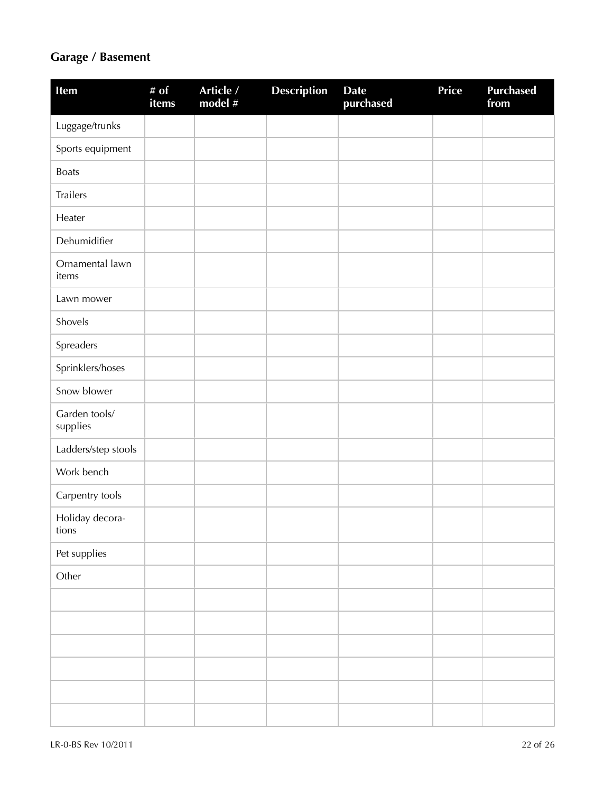### **Garage / Basement**

| Item                      | # $\overline{of}$<br>items | Article /<br>model # | <b>Description</b> | <b>Date</b><br>purchased | Price | <b>Purchased</b><br>from |
|---------------------------|----------------------------|----------------------|--------------------|--------------------------|-------|--------------------------|
| Luggage/trunks            |                            |                      |                    |                          |       |                          |
| Sports equipment          |                            |                      |                    |                          |       |                          |
| <b>Boats</b>              |                            |                      |                    |                          |       |                          |
| Trailers                  |                            |                      |                    |                          |       |                          |
| Heater                    |                            |                      |                    |                          |       |                          |
| Dehumidifier              |                            |                      |                    |                          |       |                          |
| Ornamental lawn<br>items  |                            |                      |                    |                          |       |                          |
| Lawn mower                |                            |                      |                    |                          |       |                          |
| Shovels                   |                            |                      |                    |                          |       |                          |
| Spreaders                 |                            |                      |                    |                          |       |                          |
| Sprinklers/hoses          |                            |                      |                    |                          |       |                          |
| Snow blower               |                            |                      |                    |                          |       |                          |
| Garden tools/<br>supplies |                            |                      |                    |                          |       |                          |
| Ladders/step stools       |                            |                      |                    |                          |       |                          |
| Work bench                |                            |                      |                    |                          |       |                          |
| Carpentry tools           |                            |                      |                    |                          |       |                          |
| Holiday decora-<br>tions  |                            |                      |                    |                          |       |                          |
| Pet supplies              |                            |                      |                    |                          |       |                          |
| Other                     |                            |                      |                    |                          |       |                          |
|                           |                            |                      |                    |                          |       |                          |
|                           |                            |                      |                    |                          |       |                          |
|                           |                            |                      |                    |                          |       |                          |
|                           |                            |                      |                    |                          |       |                          |
|                           |                            |                      |                    |                          |       |                          |
|                           |                            |                      |                    |                          |       |                          |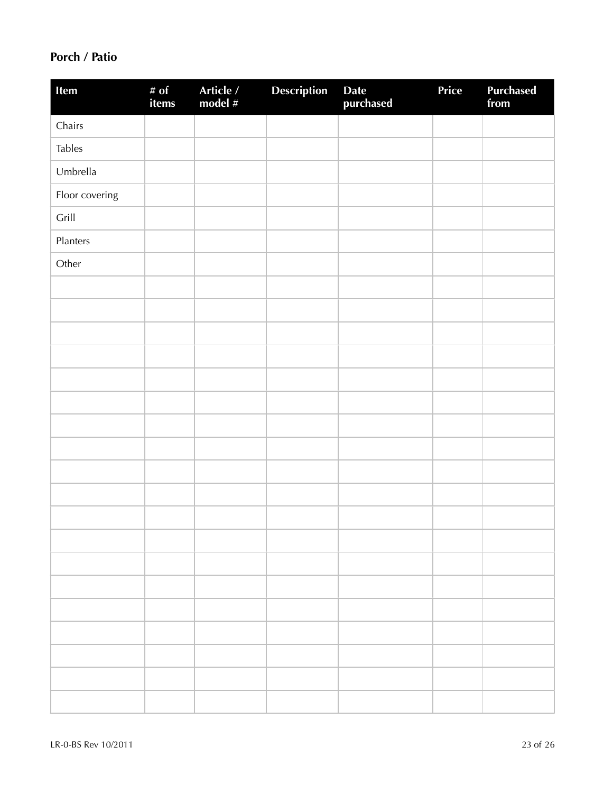### **Porch / Patio**

| Item           | # of<br>items | Article /<br>model # | <b>Description</b> | Date<br>purchased | Price | <b>Purchased</b><br>from |
|----------------|---------------|----------------------|--------------------|-------------------|-------|--------------------------|
| Chairs         |               |                      |                    |                   |       |                          |
| <b>Tables</b>  |               |                      |                    |                   |       |                          |
| Umbrella       |               |                      |                    |                   |       |                          |
| Floor covering |               |                      |                    |                   |       |                          |
| Grill          |               |                      |                    |                   |       |                          |
| Planters       |               |                      |                    |                   |       |                          |
| Other          |               |                      |                    |                   |       |                          |
|                |               |                      |                    |                   |       |                          |
|                |               |                      |                    |                   |       |                          |
|                |               |                      |                    |                   |       |                          |
|                |               |                      |                    |                   |       |                          |
|                |               |                      |                    |                   |       |                          |
|                |               |                      |                    |                   |       |                          |
|                |               |                      |                    |                   |       |                          |
|                |               |                      |                    |                   |       |                          |
|                |               |                      |                    |                   |       |                          |
|                |               |                      |                    |                   |       |                          |
|                |               |                      |                    |                   |       |                          |
|                |               |                      |                    |                   |       |                          |
|                |               |                      |                    |                   |       |                          |
|                |               |                      |                    |                   |       |                          |
|                |               |                      |                    |                   |       |                          |
|                |               |                      |                    |                   |       |                          |
|                |               |                      |                    |                   |       |                          |
|                |               |                      |                    |                   |       |                          |
|                |               |                      |                    |                   |       |                          |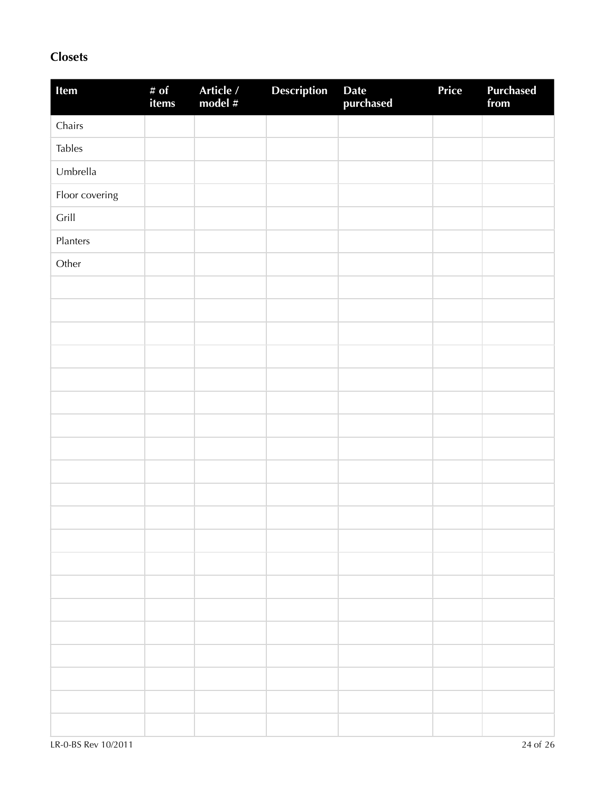### **Closets**

| Item           | # of<br>items | Article /<br>model # | <b>Description</b> | Date<br>purchased | Price | Purchased<br>from |
|----------------|---------------|----------------------|--------------------|-------------------|-------|-------------------|
| Chairs         |               |                      |                    |                   |       |                   |
| <b>Tables</b>  |               |                      |                    |                   |       |                   |
| Umbrella       |               |                      |                    |                   |       |                   |
| Floor covering |               |                      |                    |                   |       |                   |
| Grill          |               |                      |                    |                   |       |                   |
| Planters       |               |                      |                    |                   |       |                   |
| Other          |               |                      |                    |                   |       |                   |
|                |               |                      |                    |                   |       |                   |
|                |               |                      |                    |                   |       |                   |
|                |               |                      |                    |                   |       |                   |
|                |               |                      |                    |                   |       |                   |
|                |               |                      |                    |                   |       |                   |
|                |               |                      |                    |                   |       |                   |
|                |               |                      |                    |                   |       |                   |
|                |               |                      |                    |                   |       |                   |
|                |               |                      |                    |                   |       |                   |
|                |               |                      |                    |                   |       |                   |
|                |               |                      |                    |                   |       |                   |
|                |               |                      |                    |                   |       |                   |
|                |               |                      |                    |                   |       |                   |
|                |               |                      |                    |                   |       |                   |
|                |               |                      |                    |                   |       |                   |
|                |               |                      |                    |                   |       |                   |
|                |               |                      |                    |                   |       |                   |
|                |               |                      |                    |                   |       |                   |
|                |               |                      |                    |                   |       |                   |
|                |               |                      |                    |                   |       |                   |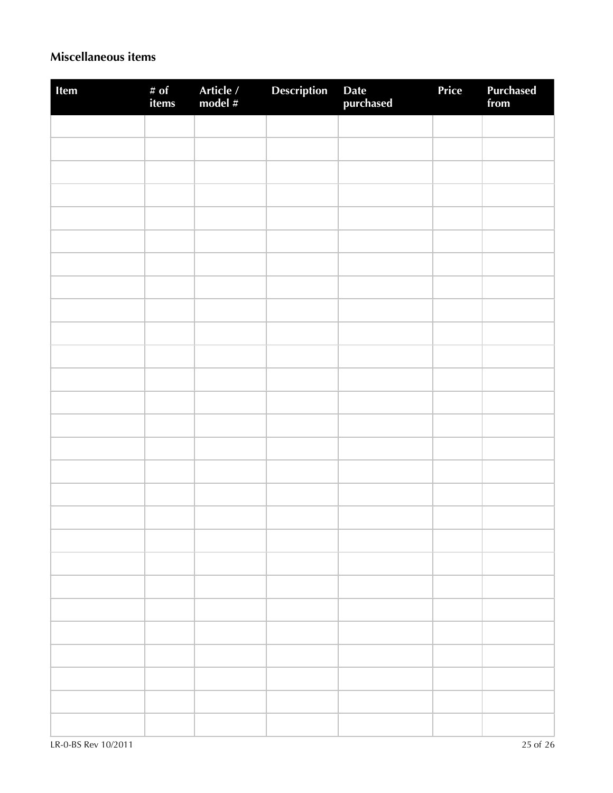### **Miscellaneous items**

| Item | # of<br>items | Article /<br>model # | Description | Date<br>purchased | Price | Purchased<br>from |
|------|---------------|----------------------|-------------|-------------------|-------|-------------------|
|      |               |                      |             |                   |       |                   |
|      |               |                      |             |                   |       |                   |
|      |               |                      |             |                   |       |                   |
|      |               |                      |             |                   |       |                   |
|      |               |                      |             |                   |       |                   |
|      |               |                      |             |                   |       |                   |
|      |               |                      |             |                   |       |                   |
|      |               |                      |             |                   |       |                   |
|      |               |                      |             |                   |       |                   |
|      |               |                      |             |                   |       |                   |
|      |               |                      |             |                   |       |                   |
|      |               |                      |             |                   |       |                   |
|      |               |                      |             |                   |       |                   |
|      |               |                      |             |                   |       |                   |
|      |               |                      |             |                   |       |                   |
|      |               |                      |             |                   |       |                   |
|      |               |                      |             |                   |       |                   |
|      |               |                      |             |                   |       |                   |
|      |               |                      |             |                   |       |                   |
|      |               |                      |             |                   |       |                   |
|      |               |                      |             |                   |       |                   |
|      |               |                      |             |                   |       |                   |
|      |               |                      |             |                   |       |                   |
|      |               |                      |             |                   |       |                   |
|      |               |                      |             |                   |       |                   |
|      |               |                      |             |                   |       |                   |
|      |               |                      |             |                   |       |                   |